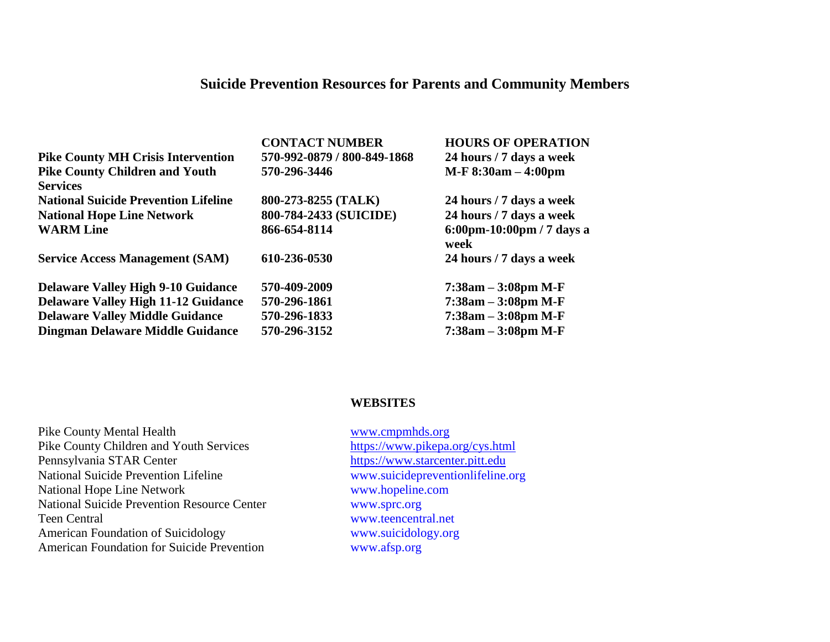## **Suicide Prevention Resources for Parents and Community Members**

| <b>CONTACT NUMBER</b>       | <b>HOURS OF OPERATION</b>                             |
|-----------------------------|-------------------------------------------------------|
| 570-992-0879 / 800-849-1868 | 24 hours / 7 days a week                              |
| 570-296-3446                | $M-F 8:30am - 4:00pm$                                 |
|                             |                                                       |
| 800-273-8255 (TALK)         | 24 hours / 7 days a week                              |
| 800-784-2433 (SUICIDE)      | 24 hours / 7 days a week                              |
| 866-654-8114                | $6:00 \text{pm} - 10:00 \text{pm} / 7$ days a<br>week |
| 610-236-0530                | 24 hours / 7 days a week                              |
| 570-409-2009                | $7:38am - 3:08pm M-F$                                 |
| 570-296-1861                | $7:38am - 3:08pm M-F$                                 |
| 570-296-1833                | $7:38am - 3:08pm M-F$                                 |
| 570-296-3152                | $7:38am - 3:08pm M-F$                                 |
|                             |                                                       |

## **WEBSITES**

| <b>Pike County Mental Health</b>                   |
|----------------------------------------------------|
| Pike County Children and Youth Services            |
| Pennsylvania STAR Center                           |
| <b>National Suicide Prevention Lifeline</b>        |
| <b>National Hope Line Network</b>                  |
| <b>National Suicide Prevention Resource Center</b> |
| Teen Central                                       |
| <b>American Foundation of Suicidology</b>          |
| <b>American Foundation for Suicide Prevention</b>  |

[www.cmpmhds.org](http://www.cmpmhds.org/) <https://www.pikepa.org/cys.html> [https://www.starcenter.pitt.edu](https://www.starcenter.pitt.edu/) [www.suicidepreventionlifeline.org](http://www.suicidepreventionlifeline.org/) [www.hopeline.com](http://www.hopeline.com/) [www.sprc.org](http://www.sprc.org/) [www.teencentral.net](http://www.teencentral.net/) www.suicidology.org [www.afsp.org](http://www.afsp.org/)